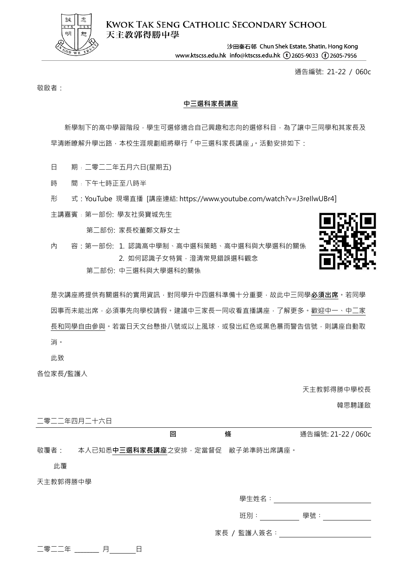

**KWOK TAK SENG CATHOLIC SECONDARY SCHOOL** 天主教郭得勝中學

> 沙田秦石邨 Chun Shek Estate, Shatin, Hong Kong www.ktscss.edu.hk info@ktscss.edu.hk (t)2605-9033 (f)2605-7956

> > 通告編號: 21-22 / 060c

敬啟者:

## **中三選科家長講座**

新學制下的高中學習階段,學生可選修適合自己興趣和志向的選修科目,為了讓中三同學和其家長及 早清晰瞭解升學出路,本校生涯規劃組將舉行「中三選科家長講座」。活動安排如下:

- 日 期: 二零二二年五月六日(星期五)
- 時 間﹕下午七時正至八時半
- 形 式:YouTube 現場直播 [講座連結: https://www.youtube.com/watch?v=J3reIlwUBr4]
- 主講嘉賓﹕第一部份: 學友社吳寶城先生

第二部份: 家長校董鄭文靜女士

內 容:第一部份: 1. 認識高中學制、高中選科策略、高中選科與大學選科的關係 2. 如何認識子女特質,澄清常見錯誤選科觀念

第二部份: 中三選科與大學選科的關係



是次講座將提供有關選科的實用資訊,對同學升中四選科準備十分重要,故此中三同學**必須出席**,若同學 因事而未能出席,必須事先向學校請假。建議中三家長一同收看直播講座,了解更多。歡迎中一、中二家 長和同學自由參與。若當日天文台懸掛八號或以上風球,或發出紅色或黑色暴雨警告信號,則講座自動取 消。

此致

各位家長/監護人

天主教郭得勝中學校長

韓思騁謹啟

二零二二年四月二十六日

|      | 條<br>回                                    | 通告編號: 21-22 / 060c |
|------|-------------------------------------------|--------------------|
|      |                                           |                    |
| 敬覆者: | 本人已知悉 <b>中三選科家長講座</b> 之安排,定當督促 敝子弟準時出席講座。 |                    |

此覆

天主教郭得勝中學

班別︰ 學號︰

家長 / 監護人簽名︰

|--|--|--|--|